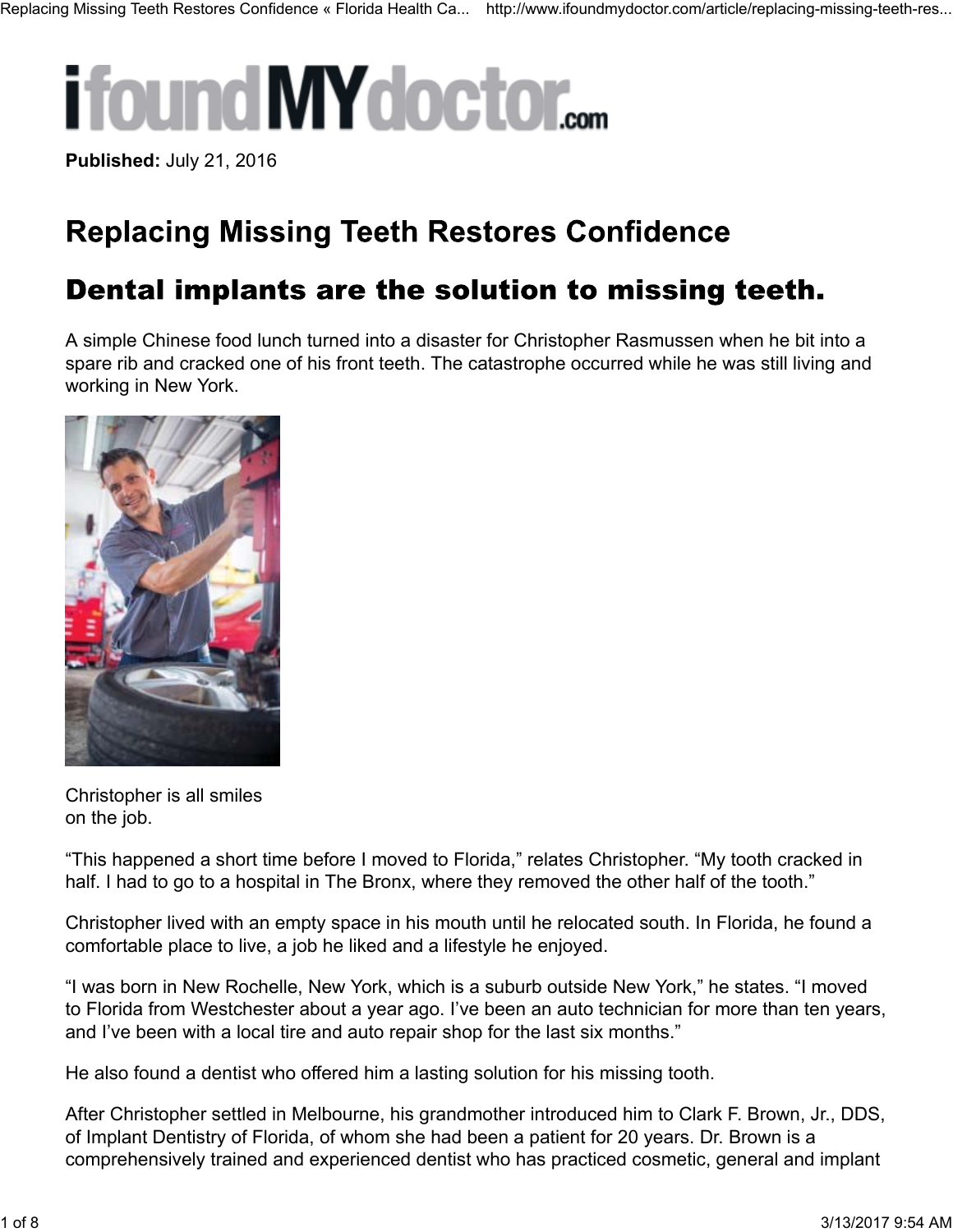# **ifound MY doctor....**

**Published:** July 21, 2016

## **Replacing Missing Teeth Restores Confidence**

### Dental implants are the solution to missing teeth.

A simple Chinese food lunch turned into a disaster for Christopher Rasmussen when he bit into a spare rib and cracked one of his front teeth. The catastrophe occurred while he was still living and working in New York.



Christopher is all smiles on the job.

"This happened a short time before I moved to Florida," relates Christopher. "My tooth cracked in half. I had to go to a hospital in The Bronx, where they removed the other half of the tooth."

Christopher lived with an empty space in his mouth until he relocated south. In Florida, he found a comfortable place to live, a job he liked and a lifestyle he enjoyed.

"I was born in New Rochelle, New York, which is a suburb outside New York," he states. "I moved to Florida from Westchester about a year ago. I've been an auto technician for more than ten years, and I've been with a local tire and auto repair shop for the last six months."

He also found a dentist who offered him a lasting solution for his missing tooth.

After Christopher settled in Melbourne, his grandmother introduced him to Clark F. Brown, Jr., DDS, of Implant Dentistry of Florida, of whom she had been a patient for 20 years. Dr. Brown is a comprehensively trained and experienced dentist who has practiced cosmetic, general and implant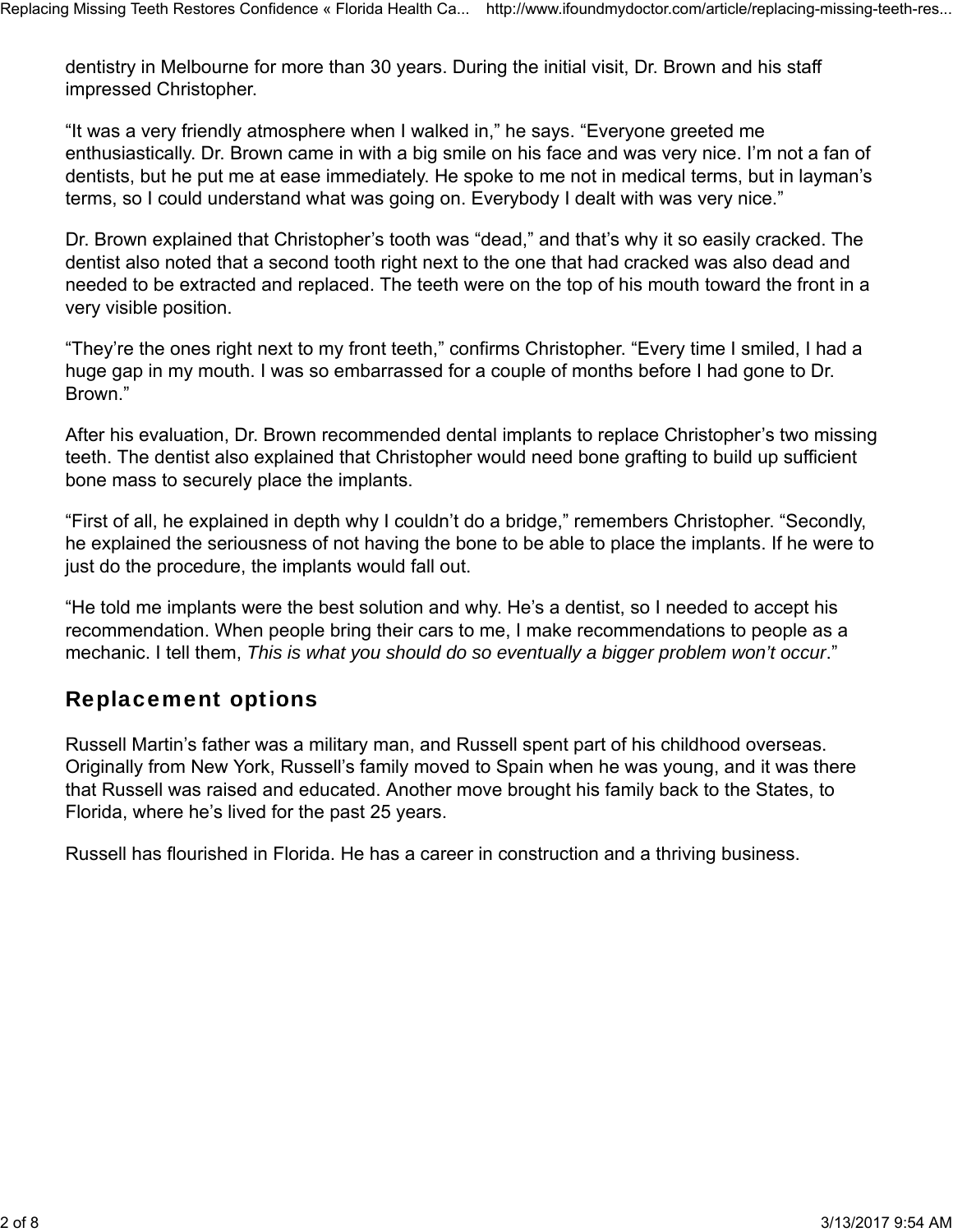dentistry in Melbourne for more than 30 years. During the initial visit, Dr. Brown and his staff impressed Christopher.

"It was a very friendly atmosphere when I walked in," he says. "Everyone greeted me enthusiastically. Dr. Brown came in with a big smile on his face and was very nice. I'm not a fan of dentists, but he put me at ease immediately. He spoke to me not in medical terms, but in layman's terms, so I could understand what was going on. Everybody I dealt with was very nice."

Dr. Brown explained that Christopher's tooth was "dead," and that's why it so easily cracked. The dentist also noted that a second tooth right next to the one that had cracked was also dead and needed to be extracted and replaced. The teeth were on the top of his mouth toward the front in a very visible position.

"They're the ones right next to my front teeth," confirms Christopher. "Every time I smiled, I had a huge gap in my mouth. I was so embarrassed for a couple of months before I had gone to Dr. Brown."

After his evaluation, Dr. Brown recommended dental implants to replace Christopher's two missing teeth. The dentist also explained that Christopher would need bone grafting to build up sufficient bone mass to securely place the implants.

"First of all, he explained in depth why I couldn't do a bridge," remembers Christopher. "Secondly, he explained the seriousness of not having the bone to be able to place the implants. If he were to just do the procedure, the implants would fall out.

"He told me implants were the best solution and why. He's a dentist, so I needed to accept his recommendation. When people bring their cars to me, I make recommendations to people as a mechanic. I tell them, *This is what you should do so eventually a bigger problem won't occur*."

#### Replacement options

Russell Martin's father was a military man, and Russell spent part of his childhood overseas. Originally from New York, Russell's family moved to Spain when he was young, and it was there that Russell was raised and educated. Another move brought his family back to the States, to Florida, where he's lived for the past 25 years.

Russell has flourished in Florida. He has a career in construction and a thriving business.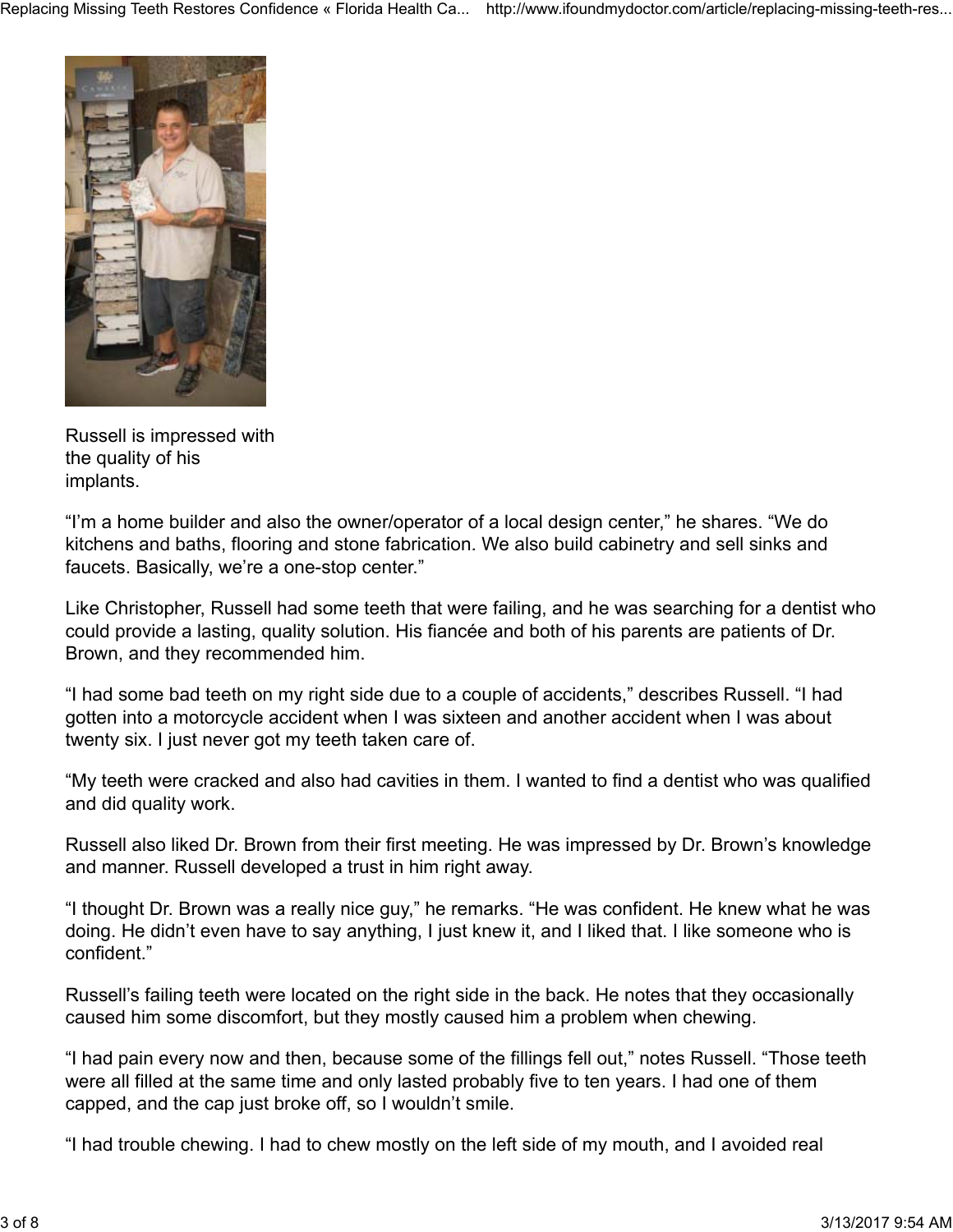

Russell is impressed with the quality of his implants.

"I'm a home builder and also the owner/operator of a local design center," he shares. "We do kitchens and baths, flooring and stone fabrication. We also build cabinetry and sell sinks and faucets. Basically, we're a one-stop center."

Like Christopher, Russell had some teeth that were failing, and he was searching for a dentist who could provide a lasting, quality solution. His fiancée and both of his parents are patients of Dr. Brown, and they recommended him.

"I had some bad teeth on my right side due to a couple of accidents," describes Russell. "I had gotten into a motorcycle accident when I was sixteen and another accident when I was about twenty six. I just never got my teeth taken care of.

"My teeth were cracked and also had cavities in them. I wanted to find a dentist who was qualified and did quality work.

Russell also liked Dr. Brown from their first meeting. He was impressed by Dr. Brown's knowledge and manner. Russell developed a trust in him right away.

"I thought Dr. Brown was a really nice guy," he remarks. "He was confident. He knew what he was doing. He didn't even have to say anything, I just knew it, and I liked that. I like someone who is confident."

Russell's failing teeth were located on the right side in the back. He notes that they occasionally caused him some discomfort, but they mostly caused him a problem when chewing.

"I had pain every now and then, because some of the fillings fell out," notes Russell. "Those teeth were all filled at the same time and only lasted probably five to ten years. I had one of them capped, and the cap just broke off, so I wouldn't smile.

"I had trouble chewing. I had to chew mostly on the left side of my mouth, and I avoided real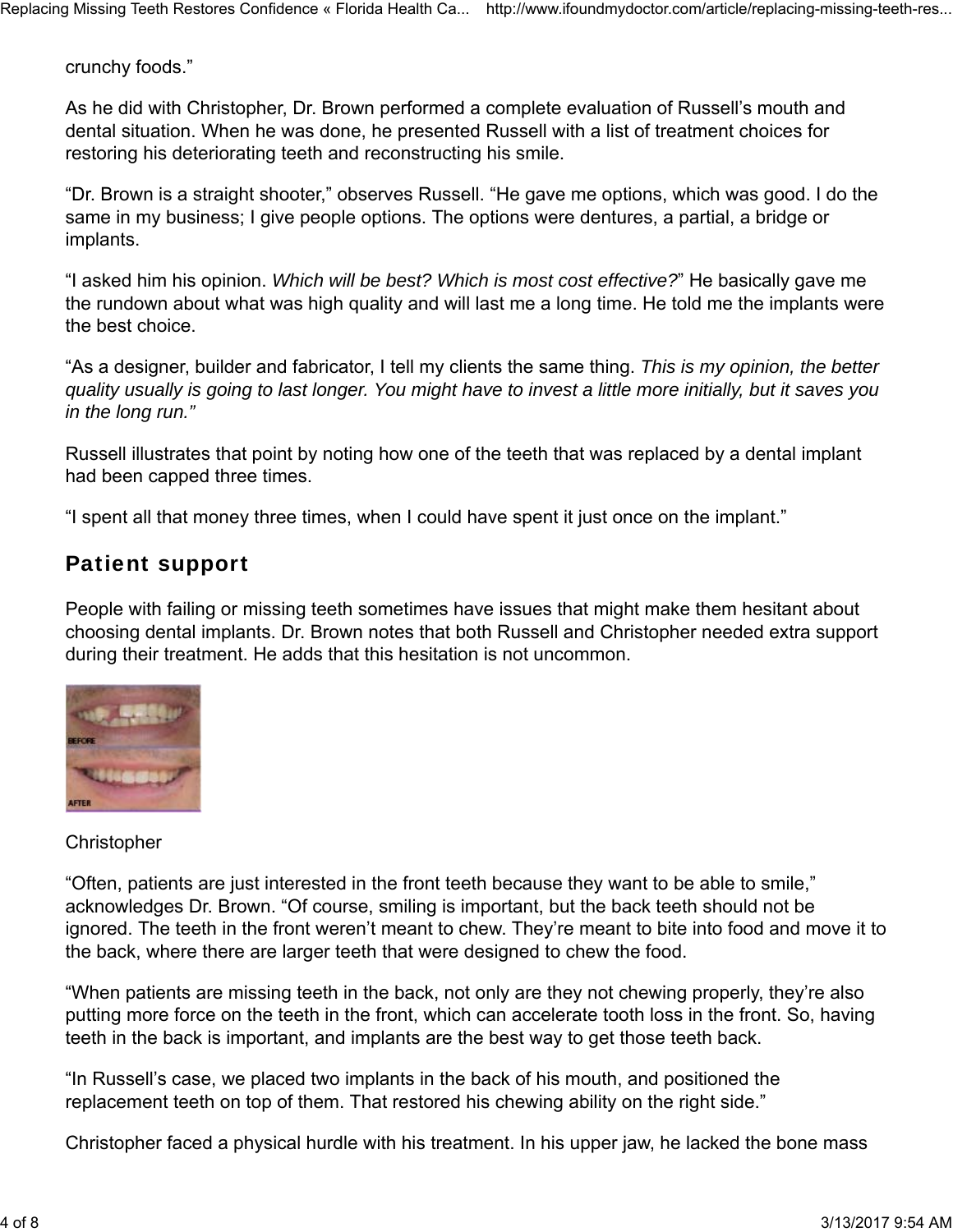crunchy foods."

As he did with Christopher, Dr. Brown performed a complete evaluation of Russell's mouth and dental situation. When he was done, he presented Russell with a list of treatment choices for restoring his deteriorating teeth and reconstructing his smile.

"Dr. Brown is a straight shooter," observes Russell. "He gave me options, which was good. I do the same in my business; I give people options. The options were dentures, a partial, a bridge or implants.

"I asked him his opinion. *Which will be best? Which is most cost effective?*" He basically gave me the rundown about what was high quality and will last me a long time. He told me the implants were the best choice.

"As a designer, builder and fabricator, I tell my clients the same thing. *This is my opinion, the better quality usually is going to last longer. You might have to invest a little more initially, but it saves you in the long run."*

Russell illustrates that point by noting how one of the teeth that was replaced by a dental implant had been capped three times.

"I spent all that money three times, when I could have spent it just once on the implant."

#### Patient support

People with failing or missing teeth sometimes have issues that might make them hesitant about choosing dental implants. Dr. Brown notes that both Russell and Christopher needed extra support during their treatment. He adds that this hesitation is not uncommon.



**Christopher** 

"Often, patients are just interested in the front teeth because they want to be able to smile," acknowledges Dr. Brown. "Of course, smiling is important, but the back teeth should not be ignored. The teeth in the front weren't meant to chew. They're meant to bite into food and move it to the back, where there are larger teeth that were designed to chew the food.

"When patients are missing teeth in the back, not only are they not chewing properly, they're also putting more force on the teeth in the front, which can accelerate tooth loss in the front. So, having teeth in the back is important, and implants are the best way to get those teeth back.

"In Russell's case, we placed two implants in the back of his mouth, and positioned the replacement teeth on top of them. That restored his chewing ability on the right side."

Christopher faced a physical hurdle with his treatment. In his upper jaw, he lacked the bone mass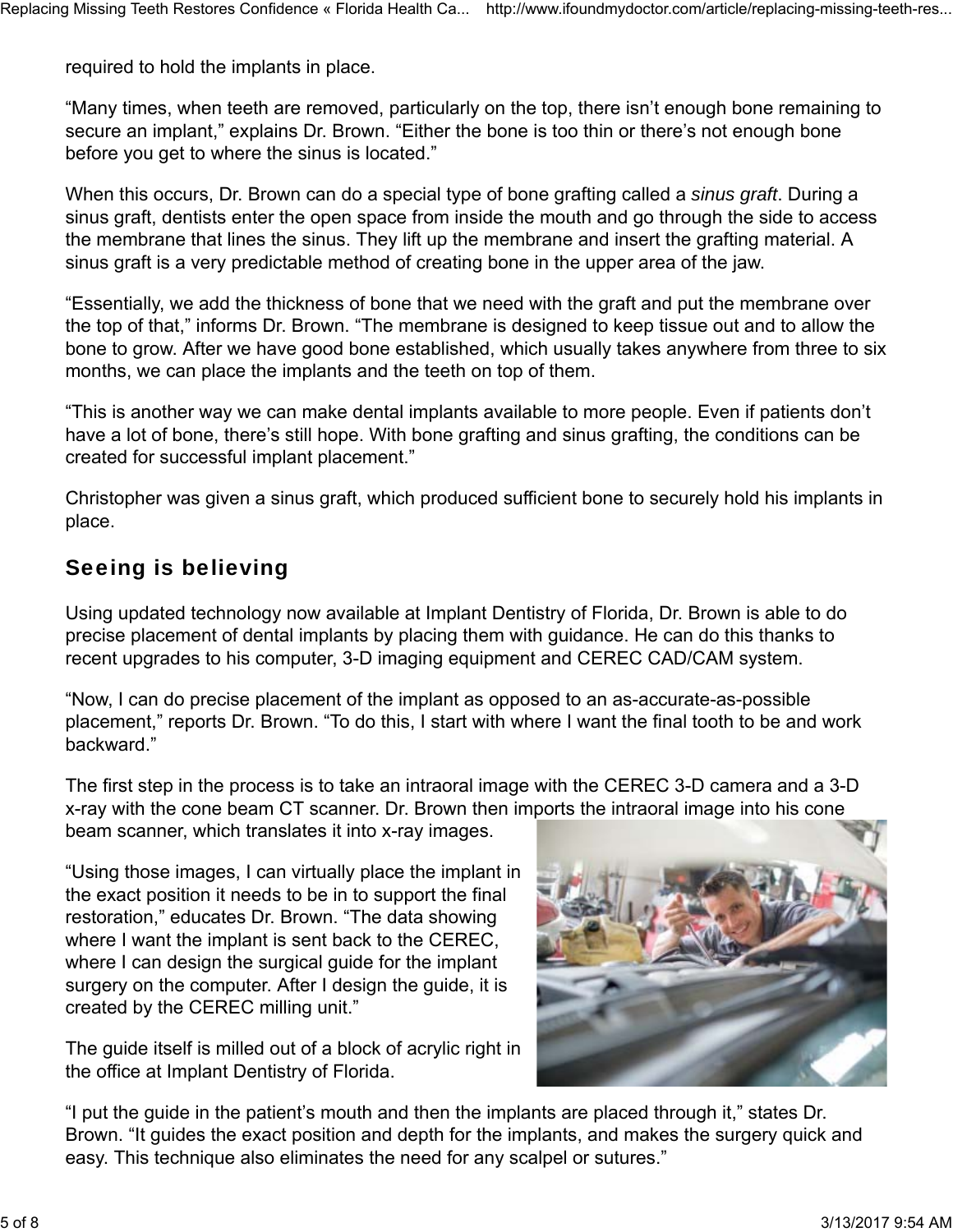required to hold the implants in place.

"Many times, when teeth are removed, particularly on the top, there isn't enough bone remaining to secure an implant," explains Dr. Brown. "Either the bone is too thin or there's not enough bone before you get to where the sinus is located."

When this occurs, Dr. Brown can do a special type of bone grafting called a *sinus graft*. During a sinus graft, dentists enter the open space from inside the mouth and go through the side to access the membrane that lines the sinus. They lift up the membrane and insert the grafting material. A sinus graft is a very predictable method of creating bone in the upper area of the jaw.

"Essentially, we add the thickness of bone that we need with the graft and put the membrane over the top of that," informs Dr. Brown. "The membrane is designed to keep tissue out and to allow the bone to grow. After we have good bone established, which usually takes anywhere from three to six months, we can place the implants and the teeth on top of them.

"This is another way we can make dental implants available to more people. Even if patients don't have a lot of bone, there's still hope. With bone grafting and sinus grafting, the conditions can be created for successful implant placement."

Christopher was given a sinus graft, which produced sufficient bone to securely hold his implants in place.

#### Seeing is believing

Using updated technology now available at Implant Dentistry of Florida, Dr. Brown is able to do precise placement of dental implants by placing them with guidance. He can do this thanks to recent upgrades to his computer, 3-D imaging equipment and CEREC CAD/CAM system.

"Now, I can do precise placement of the implant as opposed to an as-accurate-as-possible placement," reports Dr. Brown. "To do this, I start with where I want the final tooth to be and work backward."

The first step in the process is to take an intraoral image with the CEREC 3-D camera and a 3-D x-ray with the cone beam CT scanner. Dr. Brown then imports the intraoral image into his cone beam scanner, which translates it into x-ray images.

"Using those images, I can virtually place the implant in the exact position it needs to be in to support the final restoration," educates Dr. Brown. "The data showing where I want the implant is sent back to the CEREC, where I can design the surgical guide for the implant surgery on the computer. After I design the guide, it is created by the CEREC milling unit."

The guide itself is milled out of a block of acrylic right in the office at Implant Dentistry of Florida.



"I put the guide in the patient's mouth and then the implants are placed through it," states Dr. Brown. "It guides the exact position and depth for the implants, and makes the surgery quick and easy. This technique also eliminates the need for any scalpel or sutures."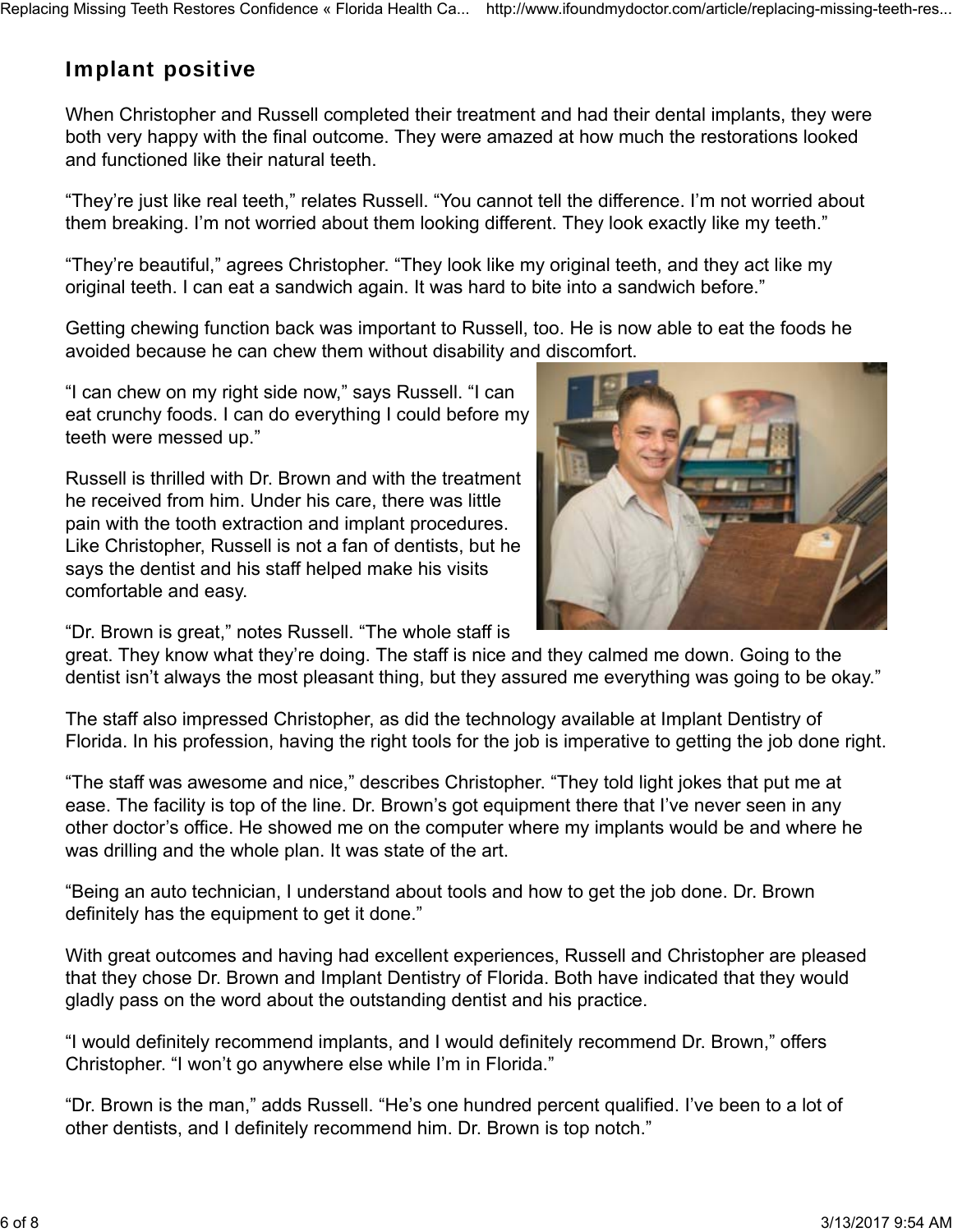#### Implant positive

When Christopher and Russell completed their treatment and had their dental implants, they were both very happy with the final outcome. They were amazed at how much the restorations looked and functioned like their natural teeth.

"They're just like real teeth," relates Russell. "You cannot tell the difference. I'm not worried about them breaking. I'm not worried about them looking different. They look exactly like my teeth."

"They're beautiful," agrees Christopher. "They look like my original teeth, and they act like my original teeth. I can eat a sandwich again. It was hard to bite into a sandwich before."

Getting chewing function back was important to Russell, too. He is now able to eat the foods he avoided because he can chew them without disability and discomfort.

"I can chew on my right side now," says Russell. "I can eat crunchy foods. I can do everything I could before my teeth were messed up."

Russell is thrilled with Dr. Brown and with the treatment he received from him. Under his care, there was little pain with the tooth extraction and implant procedures. Like Christopher, Russell is not a fan of dentists, but he says the dentist and his staff helped make his visits comfortable and easy.



"Dr. Brown is great," notes Russell. "The whole staff is

great. They know what they're doing. The staff is nice and they calmed me down. Going to the dentist isn't always the most pleasant thing, but they assured me everything was going to be okay."

The staff also impressed Christopher, as did the technology available at Implant Dentistry of Florida. In his profession, having the right tools for the job is imperative to getting the job done right.

"The staff was awesome and nice," describes Christopher. "They told light jokes that put me at ease. The facility is top of the line. Dr. Brown's got equipment there that I've never seen in any other doctor's office. He showed me on the computer where my implants would be and where he was drilling and the whole plan. It was state of the art.

"Being an auto technician, I understand about tools and how to get the job done. Dr. Brown definitely has the equipment to get it done."

With great outcomes and having had excellent experiences, Russell and Christopher are pleased that they chose Dr. Brown and Implant Dentistry of Florida. Both have indicated that they would gladly pass on the word about the outstanding dentist and his practice.

"I would definitely recommend implants, and I would definitely recommend Dr. Brown," offers Christopher. "I won't go anywhere else while I'm in Florida."

"Dr. Brown is the man," adds Russell. "He's one hundred percent qualified. I've been to a lot of other dentists, and I definitely recommend him. Dr. Brown is top notch."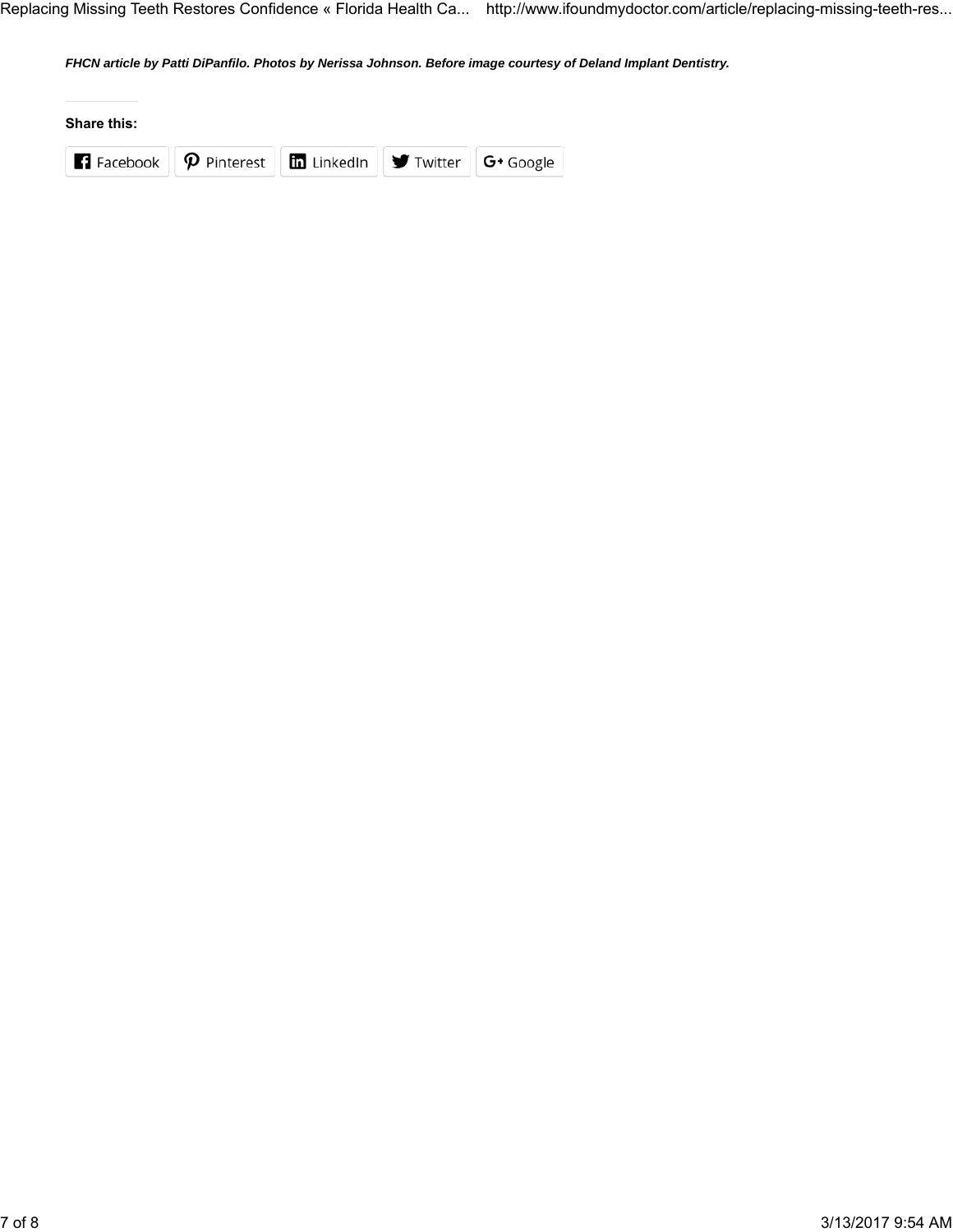Replacing Missing Teeth Restores Confidence « Florida Health Ca... http://www.ifoundmydoctor.com/article/replacing-missing-teeth-res...

*FHCN article by Patti DiPanfilo. Photos by Nerissa Johnson. Before image courtesy of Deland Implant Dentistry.*